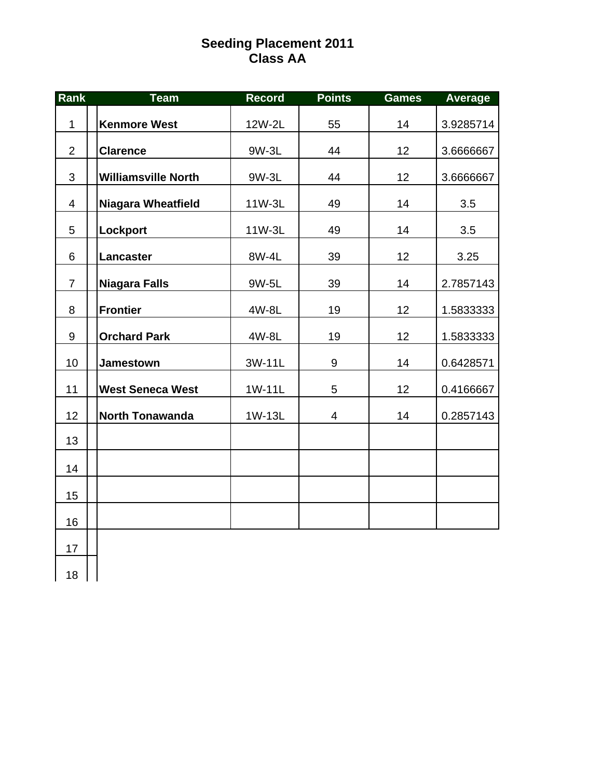# **Seeding Placement 2011 Class AA**

| Rank           | <b>Team</b>                | <b>Record</b> | <b>Points</b> | <b>Games</b> | <b>Average</b> |
|----------------|----------------------------|---------------|---------------|--------------|----------------|
| $\mathbf{1}$   | <b>Kenmore West</b>        | 12W-2L        | 55            | 14           | 3.9285714      |
| $\overline{2}$ | <b>Clarence</b>            | 9W-3L         | 44            | 12           | 3.6666667      |
| 3              | <b>Williamsville North</b> | 9W-3L         | 44            | 12           | 3.6666667      |
| $\overline{4}$ | <b>Niagara Wheatfield</b>  | 11W-3L        | 49            | 14           | 3.5            |
| 5              | Lockport                   | 11W-3L        | 49            | 14           | 3.5            |
| 6              | Lancaster                  | 8W-4L         | 39            | 12           | 3.25           |
| $\overline{7}$ | <b>Niagara Falls</b>       | 9W-5L         | 39            | 14           | 2.7857143      |
| 8              | <b>Frontier</b>            | 4W-8L         | 19            | 12           | 1.5833333      |
| 9              | <b>Orchard Park</b>        | 4W-8L         | 19            | 12           | 1.5833333      |
| 10             | Jamestown                  | 3W-11L        | 9             | 14           | 0.6428571      |
| 11             | <b>West Seneca West</b>    | 1W-11L        | 5             | 12           | 0.4166667      |
| 12             | <b>North Tonawanda</b>     | 1W-13L        | 4             | 14           | 0.2857143      |
| 13             |                            |               |               |              |                |
| 14             |                            |               |               |              |                |
| 15             |                            |               |               |              |                |
| 16             |                            |               |               |              |                |
| 17             |                            |               |               |              |                |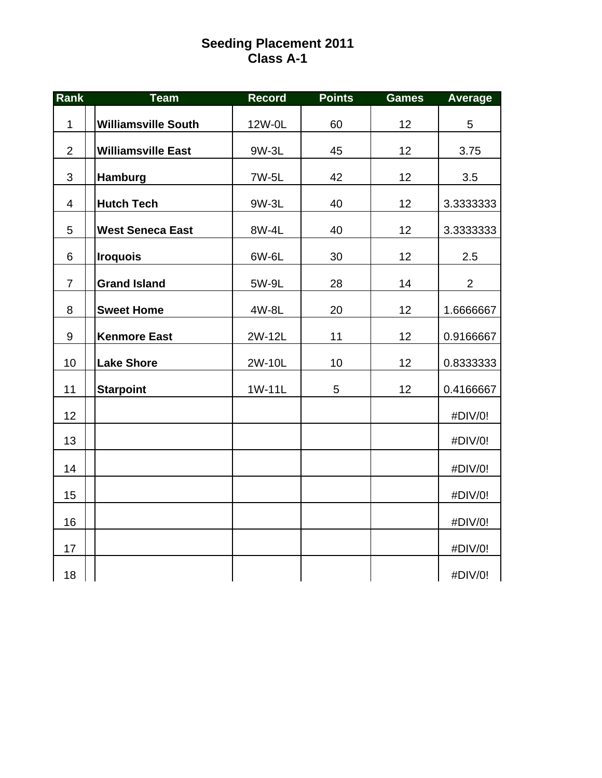# **Seeding Placement 2011 Class A-1**

| Rank           | <b>Team</b>                | <b>Record</b> | <b>Points</b> | <b>Games</b> | Average        |
|----------------|----------------------------|---------------|---------------|--------------|----------------|
| 1              | <b>Williamsville South</b> | 12W-0L        | 60            | 12           | 5              |
| $\overline{2}$ | <b>Williamsville East</b>  | 9W-3L         | 45            | 12           | 3.75           |
| 3              | Hamburg                    | 7W-5L         | 42            | 12           | 3.5            |
| $\overline{4}$ | <b>Hutch Tech</b>          | 9W-3L         | 40            | 12           | 3.3333333      |
| 5              | <b>West Seneca East</b>    | 8W-4L         | 40            | 12           | 3.3333333      |
| 6              | <b>Iroquois</b>            | 6W-6L         | 30            | 12           | 2.5            |
| $\overline{7}$ | <b>Grand Island</b>        | 5W-9L         | 28            | 14           | $\overline{2}$ |
| 8              | <b>Sweet Home</b>          | 4W-8L         | 20            | 12           | 1.6666667      |
| $9\,$          | <b>Kenmore East</b>        | 2W-12L        | 11            | 12           | 0.9166667      |
| 10             | <b>Lake Shore</b>          | 2W-10L        | 10            | 12           | 0.8333333      |
| 11             | <b>Starpoint</b>           | 1W-11L        | 5             | 12           | 0.4166667      |
| 12             |                            |               |               |              | #DIV/0!        |
| 13             |                            |               |               |              | #DIV/0!        |
| 14             |                            |               |               |              | #DIV/0!        |
| 15             |                            |               |               |              | #DIV/0!        |
| 16             |                            |               |               |              | #DIV/0!        |
| 17             |                            |               |               |              | #DIV/0!        |
| 18             |                            |               |               |              | #DIV/0!        |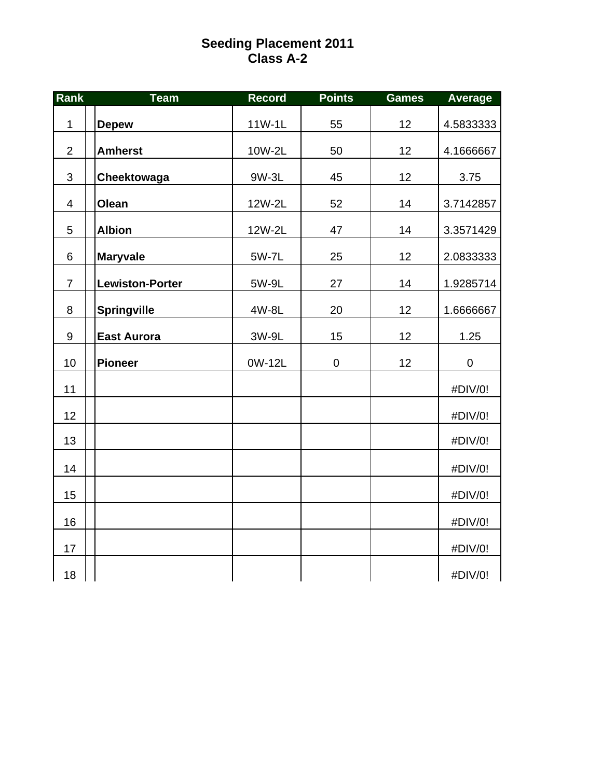### **Seeding Placement 2011 Class A-2**

| Rank           | <b>Team</b>            | <b>Record</b> | <b>Points</b> | <b>Games</b> | <b>Average</b>   |
|----------------|------------------------|---------------|---------------|--------------|------------------|
| $\mathbf 1$    | <b>Depew</b>           | 11W-1L        | 55            | 12           | 4.5833333        |
| $\overline{2}$ | <b>Amherst</b>         | 10W-2L        | 50            | 12           | 4.1666667        |
| 3              | Cheektowaga            | 9W-3L         | 45            | 12           | 3.75             |
| $\overline{4}$ | Olean                  | 12W-2L        | 52            | 14           | 3.7142857        |
| 5              | <b>Albion</b>          | 12W-2L        | 47            | 14           | 3.3571429        |
| 6              | <b>Maryvale</b>        | 5W-7L         | 25            | 12           | 2.0833333        |
| $\overline{7}$ | <b>Lewiston-Porter</b> | 5W-9L         | 27            | 14           | 1.9285714        |
| 8              | <b>Springville</b>     | 4W-8L         | 20            | 12           | 1.6666667        |
| $9\,$          | <b>East Aurora</b>     | 3W-9L         | 15            | 12           | 1.25             |
| 10             | <b>Pioneer</b>         | 0W-12L        | $\pmb{0}$     | 12           | $\boldsymbol{0}$ |
| 11             |                        |               |               |              | #DIV/0!          |
| 12             |                        |               |               |              | #DIV/0!          |
| 13             |                        |               |               |              | #DIV/0!          |
| 14             |                        |               |               |              | #DIV/0!          |
| 15             |                        |               |               |              | #DIV/0!          |
| 16             |                        |               |               |              | #DIV/0!          |
| 17             |                        |               |               |              | #DIV/0!          |
| 18             |                        |               |               |              | #DIV/0!          |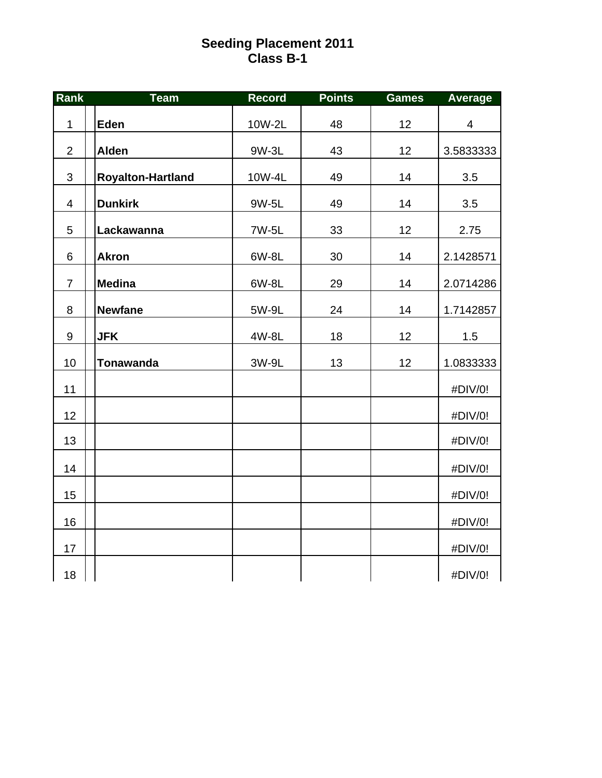## **Seeding Placement 2011 Class B-1**

| Rank                     | <b>Team</b>              | <b>Record</b> | <b>Points</b> | <b>Games</b> | <b>Average</b> |
|--------------------------|--------------------------|---------------|---------------|--------------|----------------|
| $\mathbf 1$              | Eden                     | 10W-2L        | 48            | 12           | $\overline{4}$ |
| $\overline{2}$           | <b>Alden</b>             | 9W-3L         | 43            | 12           | 3.5833333      |
| $\mathfrak{S}$           | <b>Royalton-Hartland</b> | 10W-4L        | 49            | 14           | 3.5            |
| $\overline{\mathcal{A}}$ | <b>Dunkirk</b>           | 9W-5L         | 49            | 14           | 3.5            |
| 5                        | Lackawanna               | 7W-5L         | 33            | 12           | 2.75           |
| 6                        | <b>Akron</b>             | 6W-8L         | 30            | 14           | 2.1428571      |
| $\overline{7}$           | <b>Medina</b>            | 6W-8L         | 29            | 14           | 2.0714286      |
| 8                        | <b>Newfane</b>           | 5W-9L         | 24            | 14           | 1.7142857      |
| $\boldsymbol{9}$         | <b>JFK</b>               | 4W-8L         | 18            | 12           | 1.5            |
| 10                       | <b>Tonawanda</b>         | 3W-9L         | 13            | 12           | 1.0833333      |
| 11                       |                          |               |               |              | #DIV/0!        |
| 12                       |                          |               |               |              | #DIV/0!        |
| 13                       |                          |               |               |              | #DIV/0!        |
| 14                       |                          |               |               |              | #DIV/0!        |
| 15                       |                          |               |               |              | #DIV/0!        |
| 16                       |                          |               |               |              | #DIV/0!        |
| 17                       |                          |               |               |              | #DIV/0!        |
| 18                       |                          |               |               |              | #DIV/0!        |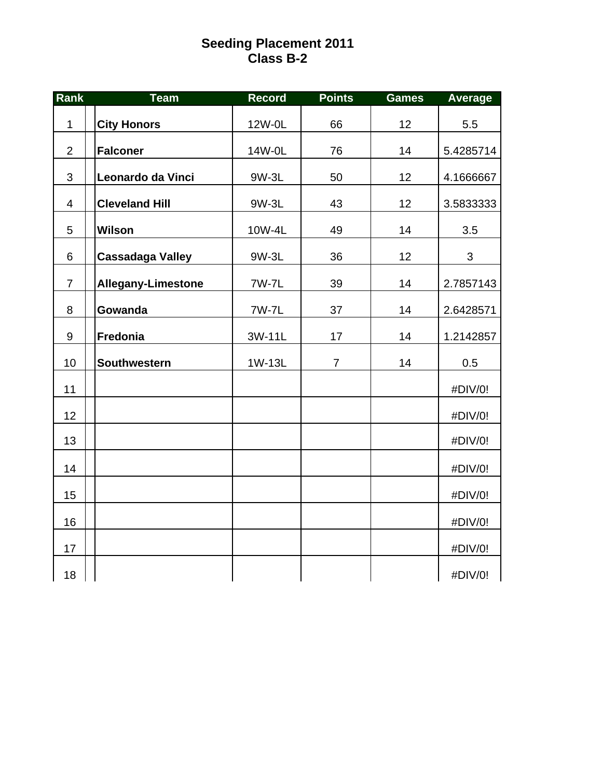### **Seeding Placement 2011 Class B-2**

| Rank             | <b>Team</b>               | <b>Record</b> | <b>Points</b>  | <b>Games</b> | Average   |
|------------------|---------------------------|---------------|----------------|--------------|-----------|
| $\mathbf 1$      | <b>City Honors</b>        | 12W-0L        | 66             | 12           | 5.5       |
| $\overline{2}$   | <b>Falconer</b>           | 14W-0L        | 76             | 14           | 5.4285714 |
| $\mathbf{3}$     | Leonardo da Vinci         | 9W-3L         | 50             | 12           | 4.1666667 |
| $\overline{4}$   | <b>Cleveland Hill</b>     | 9W-3L         | 43             | 12           | 3.5833333 |
| 5                | <b>Wilson</b>             | 10W-4L        | 49             | 14           | 3.5       |
| 6                | <b>Cassadaga Valley</b>   | 9W-3L         | 36             | 12           | 3         |
| $\overline{7}$   | <b>Allegany-Limestone</b> | 7W-7L         | 39             | 14           | 2.7857143 |
| 8                | Gowanda                   | 7W-7L         | 37             | 14           | 2.6428571 |
| $\boldsymbol{9}$ | Fredonia                  | 3W-11L        | 17             | 14           | 1.2142857 |
| 10               | Southwestern              | 1W-13L        | $\overline{7}$ | 14           | 0.5       |
| 11               |                           |               |                |              | #DIV/0!   |
| 12               |                           |               |                |              | #DIV/0!   |
| 13               |                           |               |                |              | #DIV/0!   |
| 14               |                           |               |                |              | #DIV/0!   |
| 15               |                           |               |                |              | #DIV/0!   |
| 16               |                           |               |                |              | #DIV/0!   |
| 17               |                           |               |                |              | #DIV/0!   |
| 18               |                           |               |                |              | #DIV/0!   |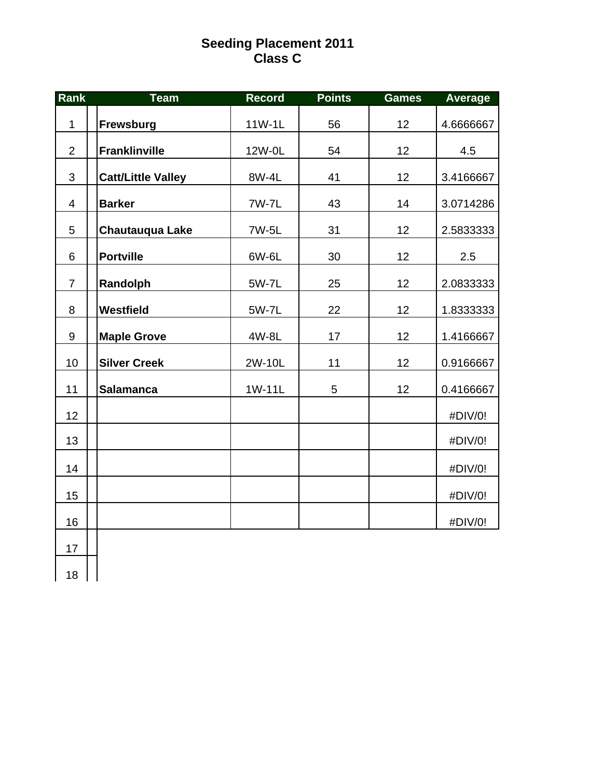# **Seeding Placement 2011 Class C**

| Rank             | <b>Team</b>               | <b>Record</b> | <b>Points</b> | <b>Games</b> | <b>Average</b> |
|------------------|---------------------------|---------------|---------------|--------------|----------------|
| $\mathbf{1}$     | Frewsburg                 | 11W-1L        | 56            | 12           | 4.6666667      |
| $\overline{2}$   | <b>Franklinville</b>      | 12W-0L        | 54            | 12           | 4.5            |
| 3                | <b>Catt/Little Valley</b> | 8W-4L         | 41            | 12           | 3.4166667      |
| $\overline{4}$   | <b>Barker</b>             | 7W-7L         | 43            | 14           | 3.0714286      |
| 5                | <b>Chautauqua Lake</b>    | 7W-5L         | 31            | 12           | 2.5833333      |
| 6                | <b>Portville</b>          | 6W-6L         | 30            | 12           | 2.5            |
| $\overline{7}$   | Randolph                  | 5W-7L         | 25            | 12           | 2.0833333      |
| 8                | Westfield                 | 5W-7L         | 22            | 12           | 1.8333333      |
| $\boldsymbol{9}$ | <b>Maple Grove</b>        | 4W-8L         | 17            | 12           | 1.4166667      |
| 10               | <b>Silver Creek</b>       | 2W-10L        | 11            | 12           | 0.9166667      |
| 11               | <b>Salamanca</b>          | 1W-11L        | 5             | 12           | 0.4166667      |
| 12               |                           |               |               |              | #DIV/0!        |
| 13               |                           |               |               |              | #DIV/0!        |
| 14               |                           |               |               |              | #DIV/0!        |
| 15               |                           |               |               |              | #DIV/0!        |
| 16               |                           |               |               |              | #DIV/0!        |
| 17               |                           |               |               |              |                |